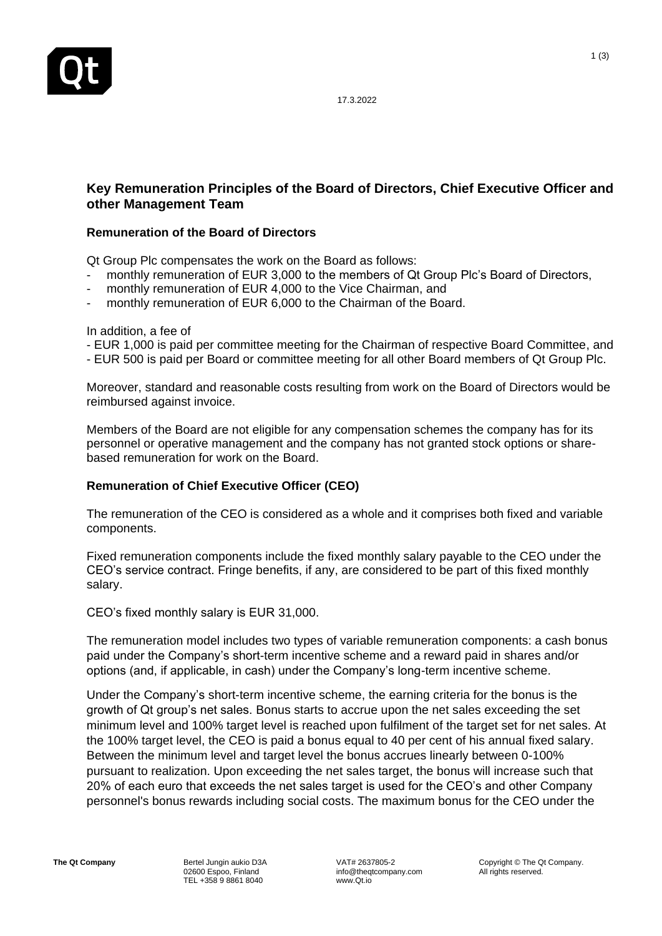

17.3.2022

## **Key Remuneration Principles of the Board of Directors, Chief Executive Officer and other Management Team**

## **Remuneration of the Board of Directors**

Qt Group Plc compensates the work on the Board as follows:

- monthly remuneration of EUR 3,000 to the members of Qt Group Plc's Board of Directors,
- monthly remuneration of EUR 4,000 to the Vice Chairman, and
- monthly remuneration of EUR 6,000 to the Chairman of the Board.

In addition, a fee of

- EUR 1,000 is paid per committee meeting for the Chairman of respective Board Committee, and
- EUR 500 is paid per Board or committee meeting for all other Board members of Qt Group Plc.

Moreover, standard and reasonable costs resulting from work on the Board of Directors would be reimbursed against invoice.

Members of the Board are not eligible for any compensation schemes the company has for its personnel or operative management and the company has not granted stock options or sharebased remuneration for work on the Board.

## **Remuneration of Chief Executive Officer (CEO)**

The remuneration of the CEO is considered as a whole and it comprises both fixed and variable components.

Fixed remuneration components include the fixed monthly salary payable to the CEO under the CEO's service contract. Fringe benefits, if any, are considered to be part of this fixed monthly salary.

CEO's fixed monthly salary is EUR 31,000.

The remuneration model includes two types of variable remuneration components: a cash bonus paid under the Company's short-term incentive scheme and a reward paid in shares and/or options (and, if applicable, in cash) under the Company's long-term incentive scheme.

Under the Company's short-term incentive scheme, the earning criteria for the bonus is the growth of Qt group's net sales. Bonus starts to accrue upon the net sales exceeding the set minimum level and 100% target level is reached upon fulfilment of the target set for net sales. At the 100% target level, the CEO is paid a bonus equal to 40 per cent of his annual fixed salary. Between the minimum level and target level the bonus accrues linearly between 0-100% pursuant to realization. Upon exceeding the net sales target, the bonus will increase such that 20% of each euro that exceeds the net sales target is used for the CEO's and other Company personnel's bonus rewards including social costs. The maximum bonus for the CEO under the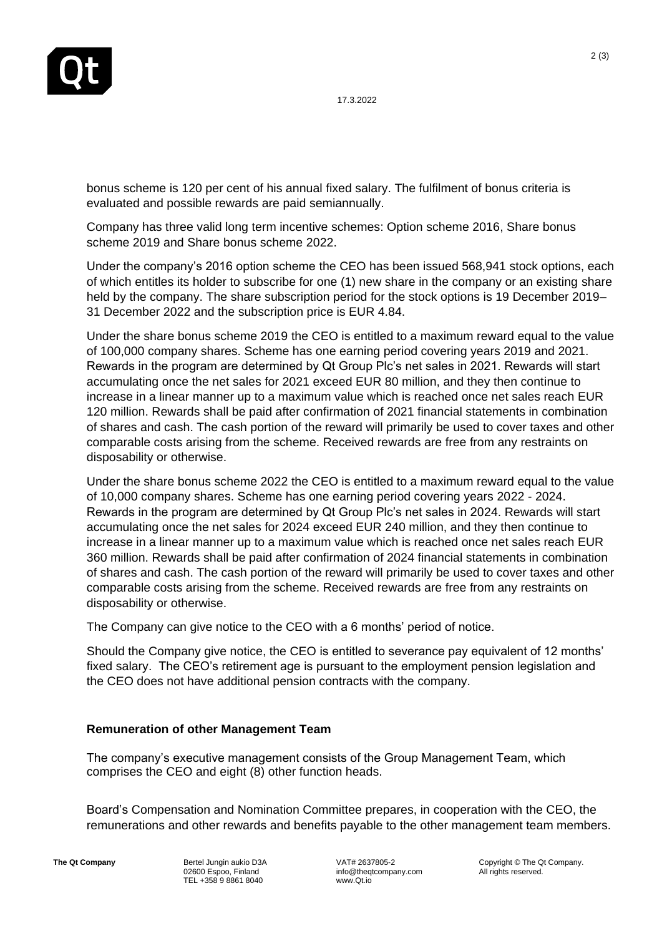17.3.2022

bonus scheme is 120 per cent of his annual fixed salary. The fulfilment of bonus criteria is evaluated and possible rewards are paid semiannually.

Company has three valid long term incentive schemes: Option scheme 2016, Share bonus scheme 2019 and Share bonus scheme 2022.

Under the company's 2016 option scheme the CEO has been issued 568,941 stock options, each of which entitles its holder to subscribe for one (1) new share in the company or an existing share held by the company. The share subscription period for the stock options is 19 December 2019– 31 December 2022 and the subscription price is EUR 4.84.

Under the share bonus scheme 2019 the CEO is entitled to a maximum reward equal to the value of 100,000 company shares. Scheme has one earning period covering years 2019 and 2021. Rewards in the program are determined by Qt Group Plc's net sales in 2021. Rewards will start accumulating once the net sales for 2021 exceed EUR 80 million, and they then continue to increase in a linear manner up to a maximum value which is reached once net sales reach EUR 120 million. Rewards shall be paid after confirmation of 2021 financial statements in combination of shares and cash. The cash portion of the reward will primarily be used to cover taxes and other comparable costs arising from the scheme. Received rewards are free from any restraints on disposability or otherwise.

Under the share bonus scheme 2022 the CEO is entitled to a maximum reward equal to the value of 10,000 company shares. Scheme has one earning period covering years 2022 - 2024. Rewards in the program are determined by Qt Group Plc's net sales in 2024. Rewards will start accumulating once the net sales for 2024 exceed EUR 240 million, and they then continue to increase in a linear manner up to a maximum value which is reached once net sales reach EUR 360 million. Rewards shall be paid after confirmation of 2024 financial statements in combination of shares and cash. The cash portion of the reward will primarily be used to cover taxes and other comparable costs arising from the scheme. Received rewards are free from any restraints on disposability or otherwise.

The Company can give notice to the CEO with a 6 months' period of notice.

Should the Company give notice, the CEO is entitled to severance pay equivalent of 12 months' fixed salary. The CEO's retirement age is pursuant to the employment pension legislation and the CEO does not have additional pension contracts with the company.

## **Remuneration of other Management Team**

The company's executive management consists of the Group Management Team, which comprises the CEO and eight (8) other function heads.

Board's Compensation and Nomination Committee prepares, in cooperation with the CEO, the remunerations and other rewards and benefits payable to the other management team members.

**The Of Company Bertel Jungin aukio D3A** 02600 Espoo, Finland TEL +358 9 8861 8040

VAT# 2637805-2 info@theqtcompany.com www.Qt.io

Copyright © The Qt Company. All rights reserved.